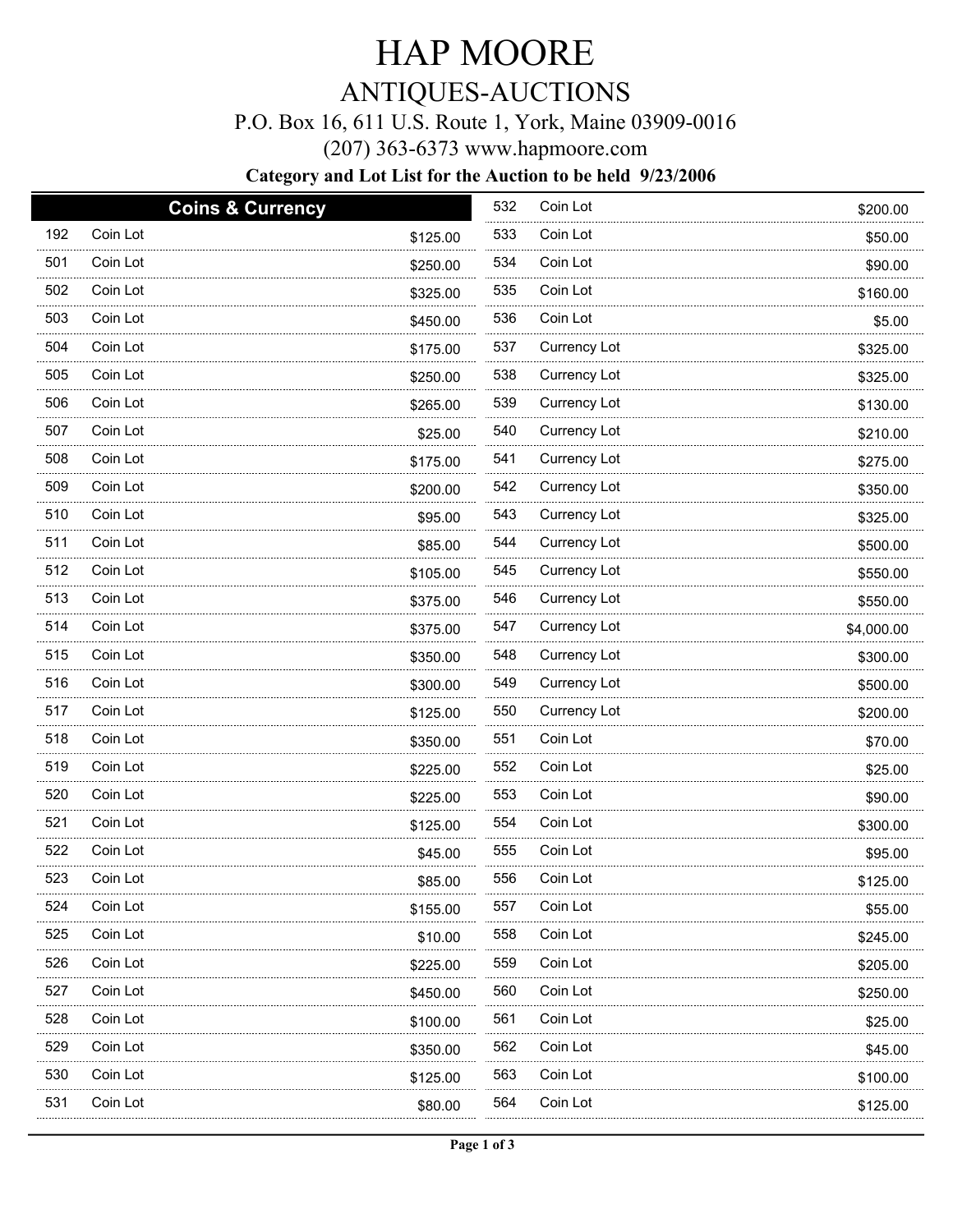# HAP MOORE

## ANTIQUES-AUCTIONS

### P.O. Box 16, 611 U.S. Route 1, York, Maine 03909-0016

(207) 363-6373 www.hapmoore.com

#### **Category and Lot List for the Auction to be held 9/23/2006**

| 192<br>Coin Lot<br>533<br>Coin Lot<br>\$125.00<br>\$50.00<br>501<br>Coin Lot<br>534<br>Coin Lot<br>\$250.00<br>\$90.00<br>.<br>502<br>Coin Lot<br>535<br>Coin Lot<br>\$325.00<br>\$160.00<br>503<br>Coin Lot<br>536<br>Coin Lot<br>\$450.00<br>\$5.00<br>504<br>Coin Lot<br>537<br>Currency Lot<br>\$175.00<br>\$325.00<br>505<br>Coin Lot<br>538<br>Currency Lot<br>\$250.00<br>\$325.00<br>506<br>Coin Lot<br>539<br>Currency Lot<br>\$265.00<br>\$130.00<br>507<br>Coin Lot<br>540<br>Currency Lot<br>\$25.00<br>\$210.00<br>.<br>508<br>Coin Lot<br>541<br>Currency Lot<br>\$175.00<br>\$275.00<br>542<br>509<br>Coin Lot<br>Currency Lot<br>\$200.00<br>\$350.00<br>.<br>510<br>Coin Lot<br>543<br>Currency Lot<br>\$95.00<br>\$325.00<br>511<br>Coin Lot<br>544<br>Currency Lot<br>\$85.00<br>\$500.00<br>512<br>Coin Lot<br>545<br>Currency Lot<br>\$105.00<br>\$550.00<br>513<br>Coin Lot<br>546<br>Currency Lot<br>\$375.00<br>\$550.00<br>514<br>Coin Lot<br>547<br>Currency Lot<br>\$375.00<br>\$4,000.00<br>515<br>Coin Lot<br>548<br>Currency Lot<br>\$350.00<br>\$300.00<br>.<br>516<br>549<br>Coin Lot<br>Currency Lot<br>\$300.00<br>\$500.00<br>517<br>Coin Lot<br>550<br>Currency Lot<br>\$125.00<br>\$200.00<br>518<br>Coin Lot<br>551<br>Coin Lot<br>\$350.00<br>\$70.00<br>519<br>Coin Lot<br>552<br>Coin Lot<br>\$225.00<br>\$25.00<br>520<br>Coin Lot<br>553<br>Coin Lot<br>\$225.00<br>\$90.00<br>521<br>Coin Lot<br>554<br>Coin Lot<br>\$125.00<br>\$300.00<br>522<br>Coin Lot<br>555<br>Coin Lot<br>\$45.00<br>\$95.00<br>523<br>Coin Lot<br>556<br>Coin Lot<br>\$85.00<br>\$125.00<br>524<br>Coin Lot<br>557<br>Coin Lot<br>\$155.00<br>\$55.00<br>525<br>558<br>Coin Lot<br>Coin Lot<br>\$10.00<br>\$245.00<br>526<br>559<br>Coin Lot<br>Coin Lot<br>\$225.00<br>\$205.00<br>527<br>560<br>Coin Lot<br>Coin Lot<br>\$450.00<br>\$250.00<br>528<br>561<br>Coin Lot<br>Coin Lot<br>\$100.00<br>\$25.00<br>529<br>562<br>Coin Lot<br>Coin Lot<br>\$350.00<br>\$45.00 |  | <b>Coins &amp; Currency</b> | 532 | Coin Lot | \$200.00 |
|-----------------------------------------------------------------------------------------------------------------------------------------------------------------------------------------------------------------------------------------------------------------------------------------------------------------------------------------------------------------------------------------------------------------------------------------------------------------------------------------------------------------------------------------------------------------------------------------------------------------------------------------------------------------------------------------------------------------------------------------------------------------------------------------------------------------------------------------------------------------------------------------------------------------------------------------------------------------------------------------------------------------------------------------------------------------------------------------------------------------------------------------------------------------------------------------------------------------------------------------------------------------------------------------------------------------------------------------------------------------------------------------------------------------------------------------------------------------------------------------------------------------------------------------------------------------------------------------------------------------------------------------------------------------------------------------------------------------------------------------------------------------------------------------------------------------------------------------------------------------------------------------------------------------------------------------------------------------------------------------------|--|-----------------------------|-----|----------|----------|
|                                                                                                                                                                                                                                                                                                                                                                                                                                                                                                                                                                                                                                                                                                                                                                                                                                                                                                                                                                                                                                                                                                                                                                                                                                                                                                                                                                                                                                                                                                                                                                                                                                                                                                                                                                                                                                                                                                                                                                                               |  |                             |     |          |          |
|                                                                                                                                                                                                                                                                                                                                                                                                                                                                                                                                                                                                                                                                                                                                                                                                                                                                                                                                                                                                                                                                                                                                                                                                                                                                                                                                                                                                                                                                                                                                                                                                                                                                                                                                                                                                                                                                                                                                                                                               |  |                             |     |          |          |
|                                                                                                                                                                                                                                                                                                                                                                                                                                                                                                                                                                                                                                                                                                                                                                                                                                                                                                                                                                                                                                                                                                                                                                                                                                                                                                                                                                                                                                                                                                                                                                                                                                                                                                                                                                                                                                                                                                                                                                                               |  |                             |     |          |          |
|                                                                                                                                                                                                                                                                                                                                                                                                                                                                                                                                                                                                                                                                                                                                                                                                                                                                                                                                                                                                                                                                                                                                                                                                                                                                                                                                                                                                                                                                                                                                                                                                                                                                                                                                                                                                                                                                                                                                                                                               |  |                             |     |          |          |
|                                                                                                                                                                                                                                                                                                                                                                                                                                                                                                                                                                                                                                                                                                                                                                                                                                                                                                                                                                                                                                                                                                                                                                                                                                                                                                                                                                                                                                                                                                                                                                                                                                                                                                                                                                                                                                                                                                                                                                                               |  |                             |     |          |          |
|                                                                                                                                                                                                                                                                                                                                                                                                                                                                                                                                                                                                                                                                                                                                                                                                                                                                                                                                                                                                                                                                                                                                                                                                                                                                                                                                                                                                                                                                                                                                                                                                                                                                                                                                                                                                                                                                                                                                                                                               |  |                             |     |          |          |
|                                                                                                                                                                                                                                                                                                                                                                                                                                                                                                                                                                                                                                                                                                                                                                                                                                                                                                                                                                                                                                                                                                                                                                                                                                                                                                                                                                                                                                                                                                                                                                                                                                                                                                                                                                                                                                                                                                                                                                                               |  |                             |     |          |          |
|                                                                                                                                                                                                                                                                                                                                                                                                                                                                                                                                                                                                                                                                                                                                                                                                                                                                                                                                                                                                                                                                                                                                                                                                                                                                                                                                                                                                                                                                                                                                                                                                                                                                                                                                                                                                                                                                                                                                                                                               |  |                             |     |          |          |
|                                                                                                                                                                                                                                                                                                                                                                                                                                                                                                                                                                                                                                                                                                                                                                                                                                                                                                                                                                                                                                                                                                                                                                                                                                                                                                                                                                                                                                                                                                                                                                                                                                                                                                                                                                                                                                                                                                                                                                                               |  |                             |     |          |          |
|                                                                                                                                                                                                                                                                                                                                                                                                                                                                                                                                                                                                                                                                                                                                                                                                                                                                                                                                                                                                                                                                                                                                                                                                                                                                                                                                                                                                                                                                                                                                                                                                                                                                                                                                                                                                                                                                                                                                                                                               |  |                             |     |          |          |
|                                                                                                                                                                                                                                                                                                                                                                                                                                                                                                                                                                                                                                                                                                                                                                                                                                                                                                                                                                                                                                                                                                                                                                                                                                                                                                                                                                                                                                                                                                                                                                                                                                                                                                                                                                                                                                                                                                                                                                                               |  |                             |     |          |          |
|                                                                                                                                                                                                                                                                                                                                                                                                                                                                                                                                                                                                                                                                                                                                                                                                                                                                                                                                                                                                                                                                                                                                                                                                                                                                                                                                                                                                                                                                                                                                                                                                                                                                                                                                                                                                                                                                                                                                                                                               |  |                             |     |          |          |
|                                                                                                                                                                                                                                                                                                                                                                                                                                                                                                                                                                                                                                                                                                                                                                                                                                                                                                                                                                                                                                                                                                                                                                                                                                                                                                                                                                                                                                                                                                                                                                                                                                                                                                                                                                                                                                                                                                                                                                                               |  |                             |     |          |          |
|                                                                                                                                                                                                                                                                                                                                                                                                                                                                                                                                                                                                                                                                                                                                                                                                                                                                                                                                                                                                                                                                                                                                                                                                                                                                                                                                                                                                                                                                                                                                                                                                                                                                                                                                                                                                                                                                                                                                                                                               |  |                             |     |          |          |
|                                                                                                                                                                                                                                                                                                                                                                                                                                                                                                                                                                                                                                                                                                                                                                                                                                                                                                                                                                                                                                                                                                                                                                                                                                                                                                                                                                                                                                                                                                                                                                                                                                                                                                                                                                                                                                                                                                                                                                                               |  |                             |     |          |          |
|                                                                                                                                                                                                                                                                                                                                                                                                                                                                                                                                                                                                                                                                                                                                                                                                                                                                                                                                                                                                                                                                                                                                                                                                                                                                                                                                                                                                                                                                                                                                                                                                                                                                                                                                                                                                                                                                                                                                                                                               |  |                             |     |          |          |
|                                                                                                                                                                                                                                                                                                                                                                                                                                                                                                                                                                                                                                                                                                                                                                                                                                                                                                                                                                                                                                                                                                                                                                                                                                                                                                                                                                                                                                                                                                                                                                                                                                                                                                                                                                                                                                                                                                                                                                                               |  |                             |     |          |          |
|                                                                                                                                                                                                                                                                                                                                                                                                                                                                                                                                                                                                                                                                                                                                                                                                                                                                                                                                                                                                                                                                                                                                                                                                                                                                                                                                                                                                                                                                                                                                                                                                                                                                                                                                                                                                                                                                                                                                                                                               |  |                             |     |          |          |
|                                                                                                                                                                                                                                                                                                                                                                                                                                                                                                                                                                                                                                                                                                                                                                                                                                                                                                                                                                                                                                                                                                                                                                                                                                                                                                                                                                                                                                                                                                                                                                                                                                                                                                                                                                                                                                                                                                                                                                                               |  |                             |     |          |          |
|                                                                                                                                                                                                                                                                                                                                                                                                                                                                                                                                                                                                                                                                                                                                                                                                                                                                                                                                                                                                                                                                                                                                                                                                                                                                                                                                                                                                                                                                                                                                                                                                                                                                                                                                                                                                                                                                                                                                                                                               |  |                             |     |          |          |
|                                                                                                                                                                                                                                                                                                                                                                                                                                                                                                                                                                                                                                                                                                                                                                                                                                                                                                                                                                                                                                                                                                                                                                                                                                                                                                                                                                                                                                                                                                                                                                                                                                                                                                                                                                                                                                                                                                                                                                                               |  |                             |     |          |          |
|                                                                                                                                                                                                                                                                                                                                                                                                                                                                                                                                                                                                                                                                                                                                                                                                                                                                                                                                                                                                                                                                                                                                                                                                                                                                                                                                                                                                                                                                                                                                                                                                                                                                                                                                                                                                                                                                                                                                                                                               |  |                             |     |          |          |
|                                                                                                                                                                                                                                                                                                                                                                                                                                                                                                                                                                                                                                                                                                                                                                                                                                                                                                                                                                                                                                                                                                                                                                                                                                                                                                                                                                                                                                                                                                                                                                                                                                                                                                                                                                                                                                                                                                                                                                                               |  |                             |     |          |          |
|                                                                                                                                                                                                                                                                                                                                                                                                                                                                                                                                                                                                                                                                                                                                                                                                                                                                                                                                                                                                                                                                                                                                                                                                                                                                                                                                                                                                                                                                                                                                                                                                                                                                                                                                                                                                                                                                                                                                                                                               |  |                             |     |          |          |
|                                                                                                                                                                                                                                                                                                                                                                                                                                                                                                                                                                                                                                                                                                                                                                                                                                                                                                                                                                                                                                                                                                                                                                                                                                                                                                                                                                                                                                                                                                                                                                                                                                                                                                                                                                                                                                                                                                                                                                                               |  |                             |     |          |          |
|                                                                                                                                                                                                                                                                                                                                                                                                                                                                                                                                                                                                                                                                                                                                                                                                                                                                                                                                                                                                                                                                                                                                                                                                                                                                                                                                                                                                                                                                                                                                                                                                                                                                                                                                                                                                                                                                                                                                                                                               |  |                             |     |          |          |
|                                                                                                                                                                                                                                                                                                                                                                                                                                                                                                                                                                                                                                                                                                                                                                                                                                                                                                                                                                                                                                                                                                                                                                                                                                                                                                                                                                                                                                                                                                                                                                                                                                                                                                                                                                                                                                                                                                                                                                                               |  |                             |     |          |          |
|                                                                                                                                                                                                                                                                                                                                                                                                                                                                                                                                                                                                                                                                                                                                                                                                                                                                                                                                                                                                                                                                                                                                                                                                                                                                                                                                                                                                                                                                                                                                                                                                                                                                                                                                                                                                                                                                                                                                                                                               |  |                             |     |          |          |
|                                                                                                                                                                                                                                                                                                                                                                                                                                                                                                                                                                                                                                                                                                                                                                                                                                                                                                                                                                                                                                                                                                                                                                                                                                                                                                                                                                                                                                                                                                                                                                                                                                                                                                                                                                                                                                                                                                                                                                                               |  |                             |     |          |          |
|                                                                                                                                                                                                                                                                                                                                                                                                                                                                                                                                                                                                                                                                                                                                                                                                                                                                                                                                                                                                                                                                                                                                                                                                                                                                                                                                                                                                                                                                                                                                                                                                                                                                                                                                                                                                                                                                                                                                                                                               |  |                             |     |          |          |
| 530<br>563<br>Coin Lot<br>Coin Lot<br>\$125.00<br>\$100.00                                                                                                                                                                                                                                                                                                                                                                                                                                                                                                                                                                                                                                                                                                                                                                                                                                                                                                                                                                                                                                                                                                                                                                                                                                                                                                                                                                                                                                                                                                                                                                                                                                                                                                                                                                                                                                                                                                                                    |  |                             |     |          |          |
| 531<br>564<br>Coin Lot<br>Coin Lot<br>\$80.00<br>\$125.00                                                                                                                                                                                                                                                                                                                                                                                                                                                                                                                                                                                                                                                                                                                                                                                                                                                                                                                                                                                                                                                                                                                                                                                                                                                                                                                                                                                                                                                                                                                                                                                                                                                                                                                                                                                                                                                                                                                                     |  |                             |     |          |          |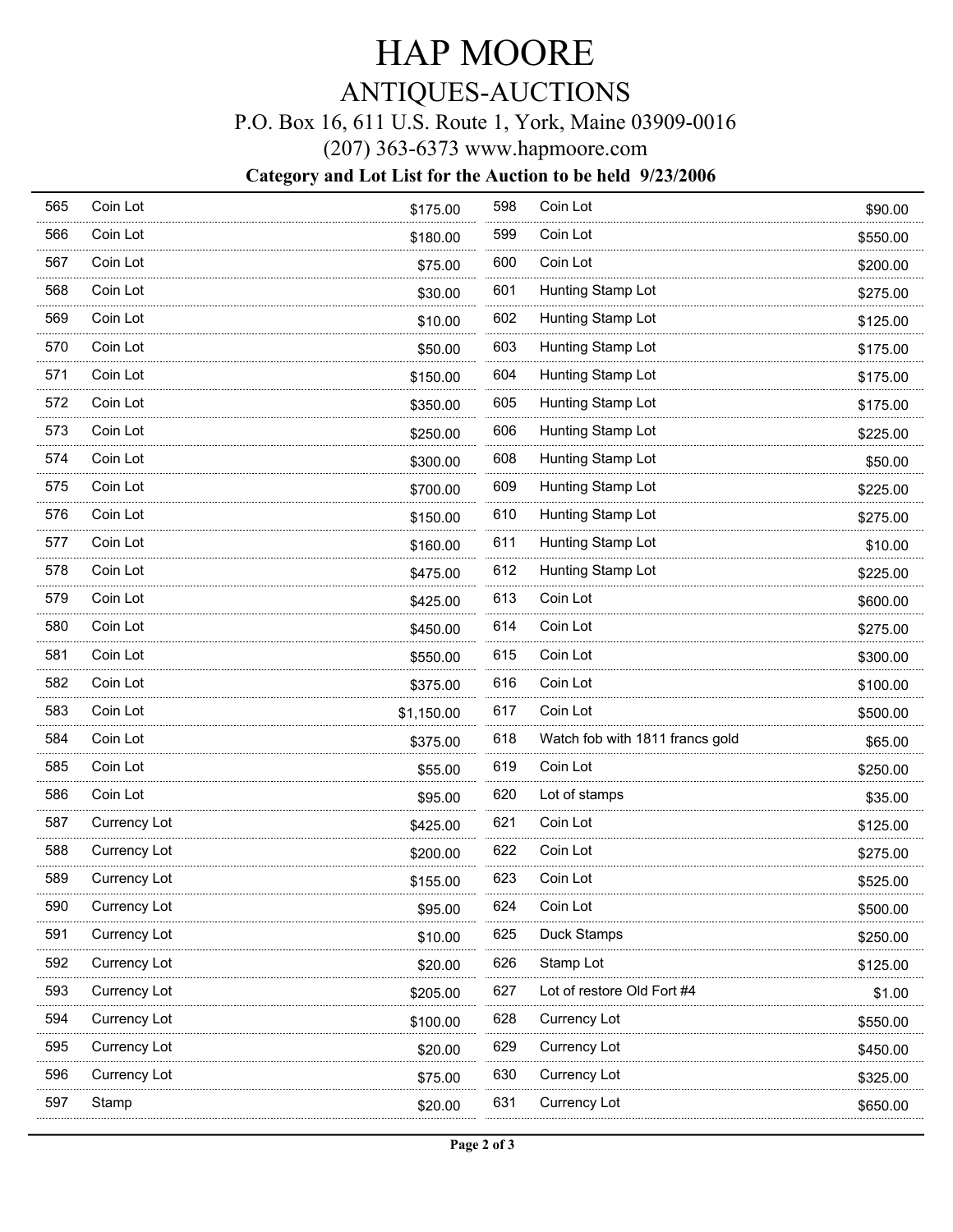# HAP MOORE

## ANTIQUES-AUCTIONS

### P.O. Box 16, 611 U.S. Route 1, York, Maine 03909-0016

(207) 363-6373 www.hapmoore.com

#### **Category and Lot List for the Auction to be held 9/23/2006**

| 565 | Coin Lot     | \$175.00   | 598 | Coin Lot                        | \$90.00  |
|-----|--------------|------------|-----|---------------------------------|----------|
| 566 | Coin Lot     | \$180.00   | 599 | Coin Lot                        | \$550.00 |
| 567 | Coin Lot     | \$75.00    | 600 | Coin Lot                        | \$200.00 |
| 568 | Coin Lot     | \$30.00    | 601 | Hunting Stamp Lot               | \$275.00 |
| 569 | Coin Lot     | \$10.00    | 602 | Hunting Stamp Lot               | \$125.00 |
| 570 | Coin Lot     | \$50.00    | 603 | Hunting Stamp Lot               | \$175.00 |
| 571 | Coin Lot     | \$150.00   | 604 | Hunting Stamp Lot               | \$175.00 |
| 572 | Coin Lot     | \$350.00   | 605 | Hunting Stamp Lot               | \$175.00 |
| 573 | Coin Lot     | \$250.00   | 606 | Hunting Stamp Lot               | \$225.00 |
| 574 | Coin Lot     | \$300.00   | 608 | Hunting Stamp Lot               | \$50.00  |
| 575 | Coin Lot     | \$700.00   | 609 | Hunting Stamp Lot               | \$225.00 |
| 576 | Coin Lot     | \$150.00   | 610 | Hunting Stamp Lot               | \$275.00 |
| 577 | Coin Lot     | \$160.00   | 611 | Hunting Stamp Lot               | \$10.00  |
| 578 | Coin Lot     | \$475.00   | 612 | Hunting Stamp Lot               | \$225.00 |
| 579 | Coin Lot     | \$425.00   | 613 | Coin Lot                        | \$600.00 |
| 580 | Coin Lot     | \$450.00   | 614 | Coin Lot                        | \$275.00 |
| 581 | Coin Lot     | \$550.00   | 615 | Coin Lot                        | \$300.00 |
| 582 | Coin Lot     | \$375.00   | 616 | Coin Lot                        | \$100.00 |
| 583 | Coin Lot     | \$1,150.00 | 617 | Coin Lot                        | \$500.00 |
| 584 | Coin Lot     | \$375.00   | 618 | Watch fob with 1811 francs gold | \$65.00  |
| 585 | Coin Lot     | \$55.00    | 619 | Coin Lot                        | \$250.00 |
| 586 | Coin Lot     | \$95.00    | 620 | Lot of stamps                   | \$35.00  |
| 587 | Currency Lot | \$425.00   | 621 | Coin Lot                        | \$125.00 |
| 588 | Currency Lot | \$200.00   | 622 | Coin Lot                        | \$275.00 |
| 589 | Currency Lot | \$155.00   | 623 | Coin Lot                        | \$525.00 |
| 590 | Currency Lot | \$95.00    | 624 | Coin Lot                        | \$500.00 |
| 591 | Currency Lot | \$10.00    | 625 | Duck Stamps                     | \$250.00 |
| 592 | Currency Lot | \$20.00    | 626 | Stamp Lot                       | \$125.00 |
| 593 | Currency Lot | \$205.00   | 627 | Lot of restore Old Fort #4      | \$1.00   |
| 594 | Currency Lot | \$100.00   | 628 | Currency Lot                    | \$550.00 |
| 595 | Currency Lot | \$20.00    | 629 | Currency Lot                    | \$450.00 |
| 596 | Currency Lot | \$75.00    | 630 | Currency Lot                    | \$325.00 |
| 597 | Stamp        | \$20.00    | 631 | Currency Lot                    | \$650.00 |
|     |              |            |     |                                 |          |